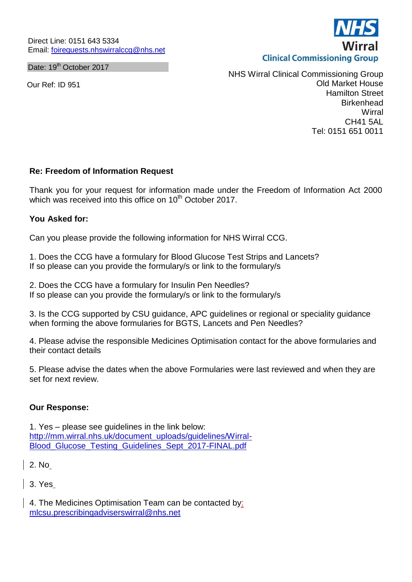Date: 19<sup>th</sup> October 2017

Our Ref: ID 951



NHS Wirral Clinical Commissioning Group Old Market House Hamilton Street **Birkenhead Wirral** CH41 5AL Tel: 0151 651 0011

# **Re: Freedom of Information Request**

Thank you for your request for information made under the Freedom of Information Act 2000 which was received into this office on 10<sup>th</sup> October 2017.

## **You Asked for:**

Can you please provide the following information for NHS Wirral CCG.

1. Does the CCG have a formulary for Blood Glucose Test Strips and Lancets? If so please can you provide the formulary/s or link to the formulary/s

2. Does the CCG have a formulary for Insulin Pen Needles? If so please can you provide the formulary/s or link to the formulary/s

3. Is the CCG supported by CSU guidance, APC guidelines or regional or speciality guidance when forming the above formularies for BGTS, Lancets and Pen Needles?

4. Please advise the responsible Medicines Optimisation contact for the above formularies and their contact details

5. Please advise the dates when the above Formularies were last reviewed and when they are set for next review.

## **Our Response:**

1. Yes – please see guidelines in the link below: [http://mm.wirral.nhs.uk/document\\_uploads/guidelines/Wirral-](http://mm.wirral.nhs.uk/document_uploads/guidelines/Wirral-Blood_Glucose_Testing_Guidelines_Sept_2017-FINAL.pdf)[Blood\\_Glucose\\_Testing\\_Guidelines\\_Sept\\_2017-FINAL.pdf](http://mm.wirral.nhs.uk/document_uploads/guidelines/Wirral-Blood_Glucose_Testing_Guidelines_Sept_2017-FINAL.pdf)

2. No

3. Yes

4. The Medicines Optimisation Team can be contacted by: [mlcsu.prescribingadviserswirral@nhs.net](mailto:mlcsu.prescribingadviserswirral@nhs.net)